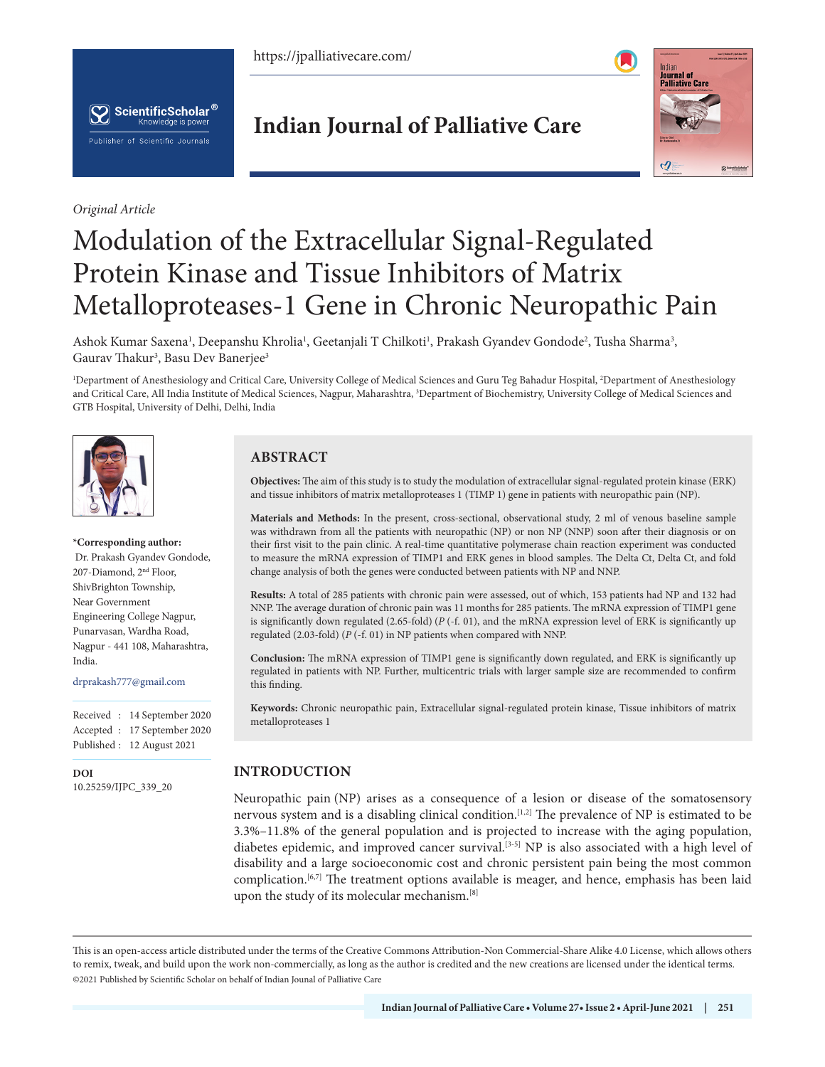https://jpalliativecare.com/





*Original Article*

# **Indian Journal of Palliative Care**



# Modulation of the Extracellular Signal-Regulated Protein Kinase and Tissue Inhibitors of Matrix Metalloproteases-1 Gene in Chronic Neuropathic Pain

Ashok Kumar Saxena<sup>1</sup>, Deepanshu Khrolia<sup>1</sup>, Geetanjali T Chilkoti<sup>1</sup>, Prakash Gyandev Gondode<sup>2</sup>, Tusha Sharma<sup>3</sup>, Gaurav Thakur<sup>3</sup>, Basu Dev Banerjee<sup>3</sup>

<sup>1</sup>Department of Anesthesiology and Critical Care, University College of Medical Sciences and Guru Teg Bahadur Hospital, <sup>2</sup>Department of Anesthesiology and Critical Care, All India Institute of Medical Sciences, Nagpur, Maharashtra, <sup>3</sup>Department of Biochemistry, University College of Medical Sciences and GTB Hospital, University of Delhi, Delhi, India



#### **\*Corresponding author:**

 Dr. Prakash Gyandev Gondode, 207-Diamond, 2nd Floor, ShivBrighton Township, Near Government Engineering College Nagpur, Punarvasan, Wardha Road, Nagpur - 441 108, Maharashtra, India.

drprakash777@gmail.com

Received : 14 September 2020 Accepted : 17 September 2020 Published : 12 August 2021

**DOI** [10.25259/IJPC\\_339\\_20](https://dx.doi.org/10.25259/IJPC_339_2020)

# **ABSTRACT**

**Objectives:** The aim of this study is to study the modulation of extracellular signal-regulated protein kinase (ERK) and tissue inhibitors of matrix metalloproteases 1 (TIMP 1) gene in patients with neuropathic pain (NP).

**Materials and Methods:** In the present, cross-sectional, observational study, 2 ml of venous baseline sample was withdrawn from all the patients with neuropathic (NP) or non NP (NNP) soon after their diagnosis or on their first visit to the pain clinic. A real-time quantitative polymerase chain reaction experiment was conducted to measure the mRNA expression of TIMP1 and ERK genes in blood samples. The Delta Ct, Delta Ct, and fold change analysis of both the genes were conducted between patients with NP and NNP.

**Results:** A total of 285 patients with chronic pain were assessed, out of which, 153 patients had NP and 132 had NNP. The average duration of chronic pain was 11 months for 285 patients. The mRNA expression of TIMP1 gene is significantly down regulated (2.65-fold) (*P* (-f. 01), and the mRNA expression level of ERK is significantly up regulated (2.03-fold) (*P* (-f. 01) in NP patients when compared with NNP.

**Conclusion:** The mRNA expression of TIMP1 gene is significantly down regulated, and ERK is significantly up regulated in patients with NP. Further, multicentric trials with larger sample size are recommended to confirm this finding.

**Keywords:** Chronic neuropathic pain, Extracellular signal-regulated protein kinase, Tissue inhibitors of matrix metalloproteases 1

# **INTRODUCTION**

Neuropathic pain (NP) arises as a consequence of a lesion or disease of the somatosensory nervous system and is a disabling clinical condition.<sup>[1,2]</sup> The prevalence of NP is estimated to be 3.3%–11.8% of the general population and is projected to increase with the aging population, diabetes epidemic, and improved cancer survival.<sup>[3-5]</sup> NP is also associated with a high level of disability and a large socioeconomic cost and chronic persistent pain being the most common complication.[6,7] The treatment options available is meager, and hence, emphasis has been laid upon the study of its molecular mechanism.[8]

is is an open-access article distributed under the terms of the Creative Commons Attribution-Non Commercial-Share Alike 4.0 License, which allows others to remix, tweak, and build upon the work non-commercially, as long as the author is credited and the new creations are licensed under the identical terms. ©2021 Published by Scientific Scholar on behalf of Indian Jounal of Palliative Care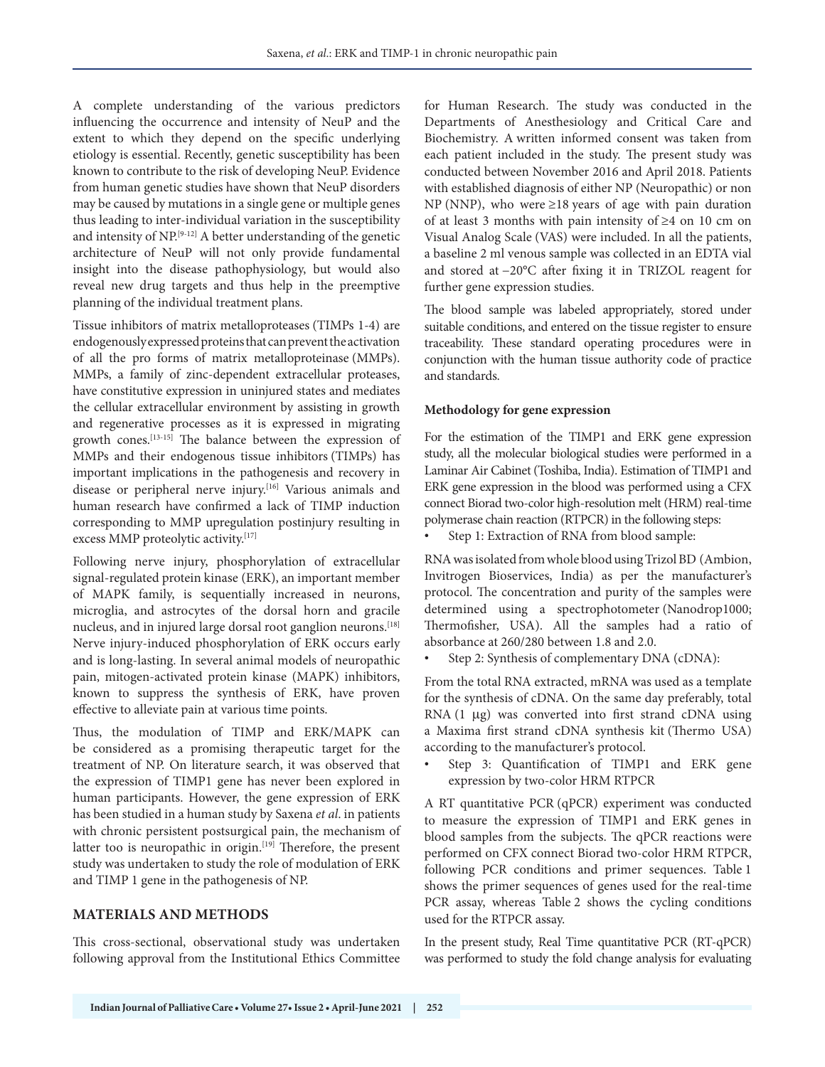A complete understanding of the various predictors influencing the occurrence and intensity of NeuP and the extent to which they depend on the specific underlying etiology is essential. Recently, genetic susceptibility has been known to contribute to the risk of developing NeuP. Evidence from human genetic studies have shown that NeuP disorders may be caused by mutations in a single gene or multiple genes thus leading to inter-individual variation in the susceptibility and intensity of NP.[9-12] A better understanding of the genetic architecture of NeuP will not only provide fundamental insight into the disease pathophysiology, but would also reveal new drug targets and thus help in the preemptive planning of the individual treatment plans.

Tissue inhibitors of matrix metalloproteases (TIMPs 1-4) are endogenously expressed proteins that can prevent the activation of all the pro forms of matrix metalloproteinase (MMPs). MMPs, a family of zinc-dependent extracellular proteases, have constitutive expression in uninjured states and mediates the cellular extracellular environment by assisting in growth and regenerative processes as it is expressed in migrating growth cones.[13-15] The balance between the expression of MMPs and their endogenous tissue inhibitors (TIMPs) has important implications in the pathogenesis and recovery in disease or peripheral nerve injury.<sup>[16]</sup> Various animals and human research have confirmed a lack of TIMP induction corresponding to MMP upregulation postinjury resulting in excess MMP proteolytic activity.[17]

Following nerve injury, phosphorylation of extracellular signal-regulated protein kinase (ERK), an important member of MAPK family, is sequentially increased in neurons, microglia, and astrocytes of the dorsal horn and gracile nucleus, and in injured large dorsal root ganglion neurons.<sup>[18]</sup> Nerve injury-induced phosphorylation of ERK occurs early and is long-lasting. In several animal models of neuropathic pain, mitogen-activated protein kinase (MAPK) inhibitors, known to suppress the synthesis of ERK, have proven effective to alleviate pain at various time points.

Thus, the modulation of TIMP and ERK/MAPK can be considered as a promising therapeutic target for the treatment of NP. On literature search, it was observed that the expression of TIMP1 gene has never been explored in human participants. However, the gene expression of ERK has been studied in a human study by Saxena *et al*. in patients with chronic persistent postsurgical pain, the mechanism of latter too is neuropathic in origin.<sup>[19]</sup> Therefore, the present study was undertaken to study the role of modulation of ERK and TIMP 1 gene in the pathogenesis of NP.

# **MATERIALS AND METHODS**

This cross-sectional, observational study was undertaken following approval from the Institutional Ethics Committee for Human Research. The study was conducted in the Departments of Anesthesiology and Critical Care and Biochemistry. A written informed consent was taken from each patient included in the study. The present study was conducted between November 2016 and April 2018. Patients with established diagnosis of either NP (Neuropathic) or non NP (NNP), who were ≥18 years of age with pain duration of at least 3 months with pain intensity of ≥4 on 10 cm on Visual Analog Scale (VAS) were included. In all the patients, a baseline 2 ml venous sample was collected in an EDTA vial and stored at −20°C after fixing it in TRIZOL reagent for further gene expression studies.

The blood sample was labeled appropriately, stored under suitable conditions, and entered on the tissue register to ensure traceability. These standard operating procedures were in conjunction with the human tissue authority code of practice and standards.

#### **Methodology for gene expression**

For the estimation of the TIMP1 and ERK gene expression study, all the molecular biological studies were performed in a Laminar Air Cabinet (Toshiba, India). Estimation of TIMP1 and ERK gene expression in the blood was performed using a CFX connect Biorad two-color high-resolution melt (HRM) real-time polymerase chain reaction (RTPCR) in the following steps:

Step 1: Extraction of RNA from blood sample:

RNA was isolated from whole blood using Trizol BD (Ambion, Invitrogen Bioservices, India) as per the manufacturer's protocol. The concentration and purity of the samples were determined using a spectrophotometer (Nanodrop1000; Thermofisher, USA). All the samples had a ratio of absorbance at 260/280 between 1.8 and 2.0.

Step 2: Synthesis of complementary DNA (cDNA):

From the total RNA extracted, mRNA was used as a template for the synthesis of cDNA. On the same day preferably, total RNA (1 µg) was converted into first strand cDNA using a Maxima first strand cDNA synthesis kit (Thermo USA) according to the manufacturer's protocol.

Step 3: Quantification of TIMP1 and ERK gene expression by two-color HRM RTPCR

A RT quantitative PCR (qPCR) experiment was conducted to measure the expression of TIMP1 and ERK genes in blood samples from the subjects. The qPCR reactions were performed on CFX connect Biorad two-color HRM RTPCR, following PCR conditions and primer sequences. Table 1 shows the primer sequences of genes used for the real-time PCR assay, whereas Table 2 shows the cycling conditions used for the RTPCR assay.

In the present study, Real Time quantitative PCR (RT-qPCR) was performed to study the fold change analysis for evaluating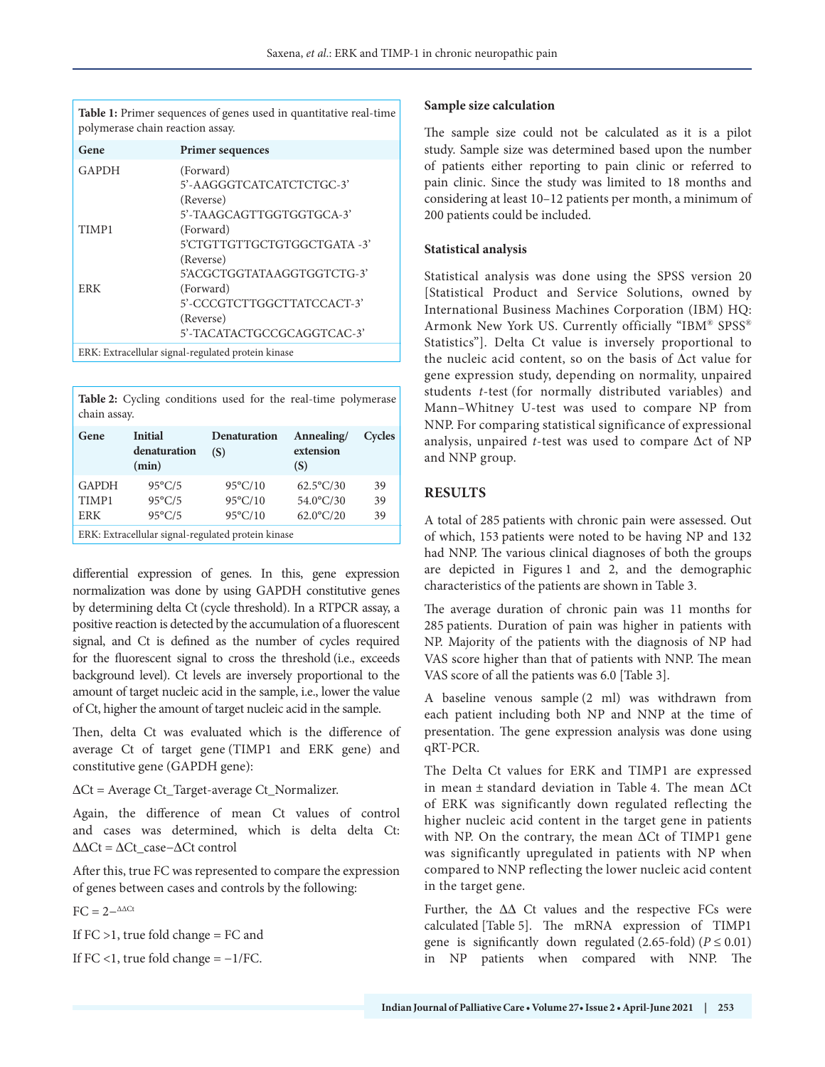**Table 1:** Primer sequences of genes used in quantitative real-time polymerase chain reaction assay.

| Gene                                               | <b>Primer sequences</b>     |  |  |
|----------------------------------------------------|-----------------------------|--|--|
| GAPDH                                              | (Forward)                   |  |  |
|                                                    | 5'-AAGGGTCATCATCTCTGC-3'    |  |  |
|                                                    | (Reverse)                   |  |  |
|                                                    | 5'-TAAGCAGTTGGTGGTGCA-3'    |  |  |
| TIMP1                                              | (Forward)                   |  |  |
|                                                    | 5'CTGTTGTTGCTGTGGCTGATA -3' |  |  |
|                                                    | (Reverse)                   |  |  |
|                                                    | 5'ACGCTGGTATA AGGTGGTCTG-3' |  |  |
| ERK                                                | (Forward)                   |  |  |
|                                                    | 5'-CCCGTCTTGGCTTATCCACT-3'  |  |  |
|                                                    | (Reverse)                   |  |  |
|                                                    | 5'-TACATACTGCCGCAGGTCAC-3'  |  |  |
| ERK: Extracellular signal-regulated protein kinase |                             |  |  |

**Table 2:** Cycling conditions used for the real-time polymerase chain assay.

| Gene                                               | <b>Initial</b><br>denaturation<br>(min) | <b>Denaturation</b><br>(S) | Annealing/<br>extension<br>(S) | Cycles |  |  |
|----------------------------------------------------|-----------------------------------------|----------------------------|--------------------------------|--------|--|--|
| <b>GAPDH</b>                                       | $95^{\circ}$ C/5                        | $95^{\circ}$ C/10          | $62.5^{\circ}C/30$             | 39     |  |  |
| TIMP1                                              | $95^{\circ}$ C/5                        | $95^{\circ}$ C/10          | $54.0^{\circ}$ C/30            | 39     |  |  |
| <b>ERK</b>                                         | $95^{\circ}$ C/5                        | $95^{\circ}$ C/10          | $62.0^{\circ}$ C/20            | 39     |  |  |
| ERK: Extracellular signal-regulated protein kinase |                                         |                            |                                |        |  |  |

differential expression of genes. In this, gene expression normalization was done by using GAPDH constitutive genes by determining delta Ct (cycle threshold). In a RTPCR assay, a positive reaction is detected by the accumulation of a fluorescent signal, and Ct is defined as the number of cycles required for the fluorescent signal to cross the threshold (i.e., exceeds background level). Ct levels are inversely proportional to the amount of target nucleic acid in the sample, i.e., lower the value of Ct, higher the amount of target nucleic acid in the sample.

Then, delta Ct was evaluated which is the difference of average Ct of target gene (TIMP1 and ERK gene) and constitutive gene (GAPDH gene):

ΔCt = Average Ct\_Target-average Ct\_Normalizer.

Again, the difference of mean Ct values of control and cases was determined, which is delta delta Ct:  $\Delta \Delta \text{C}t = \Delta \text{C}t$  case− $\Delta \text{C}t$  control

After this, true FC was represented to compare the expression of genes between cases and controls by the following:

 $FC = 2-$ <sup>ΔΔCt</sup>

If  $FC > 1$ , true fold change =  $FC$  and

If  $FC < 1$ , true fold change =  $-1/FC$ .

### **Sample size calculation**

The sample size could not be calculated as it is a pilot study. Sample size was determined based upon the number of patients either reporting to pain clinic or referred to pain clinic. Since the study was limited to 18 months and considering at least 10–12 patients per month, a minimum of 200 patients could be included.

# **Statistical analysis**

Statistical analysis was done using the SPSS version 20 [Statistical Product and Service Solutions, owned by International Business Machines Corporation (IBM) HQ: Armonk New York US. Currently officially "IBM® SPSS® Statistics"]. Delta Ct value is inversely proportional to the nucleic acid content, so on the basis of Δct value for gene expression study, depending on normality, unpaired students *t*-test (for normally distributed variables) and Mann–Whitney U-test was used to compare NP from NNP. For comparing statistical significance of expressional analysis, unpaired *t*-test was used to compare Δct of NP and NNP group.

# **RESULTS**

A total of 285 patients with chronic pain were assessed. Out of which, 153 patients were noted to be having NP and 132 had NNP. The various clinical diagnoses of both the groups are depicted in Figures 1 and 2, and the demographic characteristics of the patients are shown in Table 3.

The average duration of chronic pain was 11 months for 285 patients. Duration of pain was higher in patients with NP. Majority of the patients with the diagnosis of NP had VAS score higher than that of patients with NNP. The mean VAS score of all the patients was 6.0 [Table 3].

A baseline venous sample (2 ml) was withdrawn from each patient including both NP and NNP at the time of presentation. The gene expression analysis was done using qRT-PCR.

The Delta Ct values for ERK and TIMP1 are expressed in mean ± standard deviation in Table 4. The mean ΔCt of ERK was significantly down regulated reflecting the higher nucleic acid content in the target gene in patients with NP. On the contrary, the mean ΔCt of TIMP1 gene was significantly upregulated in patients with NP when compared to NNP reflecting the lower nucleic acid content in the target gene.

Further, the  $\Delta\Delta$  Ct values and the respective FCs were calculated [Table 5]. The mRNA expression of TIMP1 gene is significantly down regulated  $(2.65-fold)$  ( $P \le 0.01$ ) in NP patients when compared with NNP. The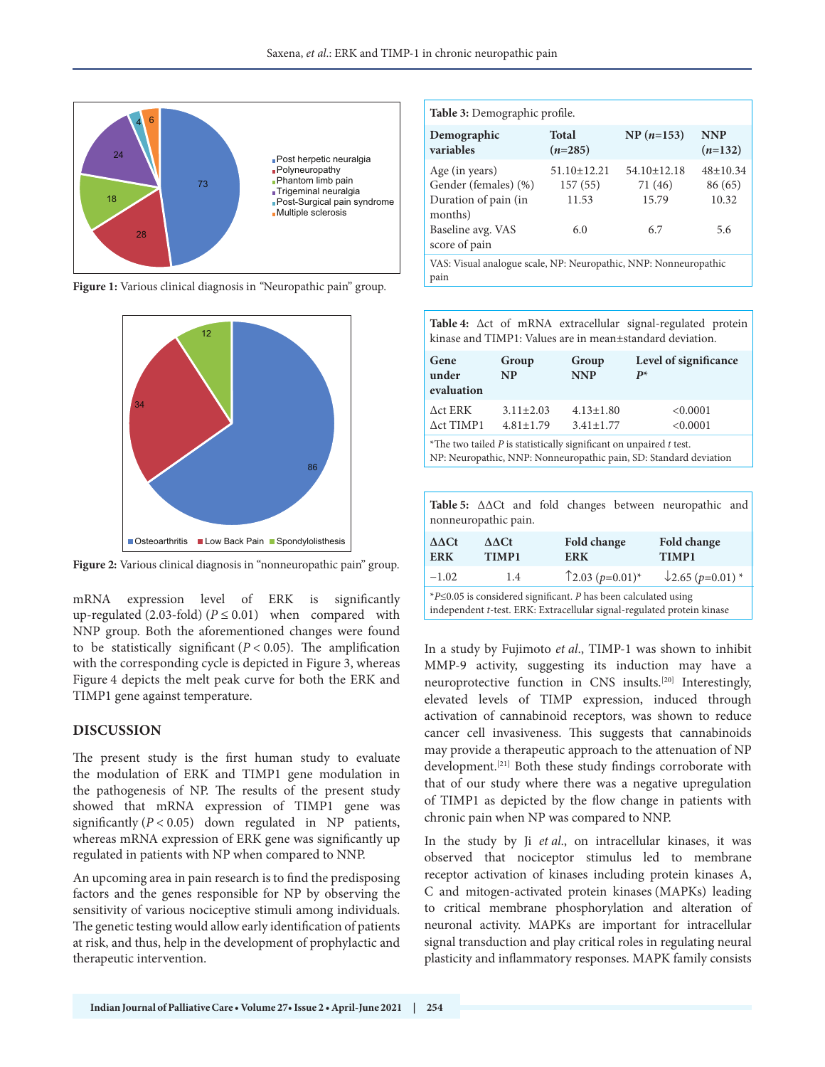

**Figure 1:** Various clinical diagnosis in *"*Neuropathic pain" group.



**Figure 2:** Various clinical diagnosis in "nonneuropathic pain" group.

mRNA expression level of ERK is significantly <sup>\*P≤0.05</sup> is considered significant. *P* has been calculated using<br>up-regulated (2.03-fold) (*P* ≤ 0.01) when compared with independent *t*-test. ERK: Extracellular signal-reg NNP group. Both the aforementioned changes were found to be statistically significant  $(P < 0.05)$ . The amplification with the corresponding cycle is depicted in Figure 3, whereas Figure 4 depicts the melt peak curve for both the ERK and TIMP1 gene against temperature.

# **DISCUSSION**

The present study is the first human study to evaluate the modulation of ERK and TIMP1 gene modulation in the pathogenesis of NP. The results of the present study showed that mRNA expression of TIMP1 gene was significantly  $(P < 0.05)$  down regulated in NP patients, whereas mRNA expression of ERK gene was significantly up regulated in patients with NP when compared to NNP.

An upcoming area in pain research is to find the predisposing factors and the genes responsible for NP by observing the sensitivity of various nociceptive stimuli among individuals. The genetic testing would allow early identification of patients at risk, and thus, help in the development of prophylactic and therapeutic intervention.

| <b>Table 3:</b> Demographic profile.                                      |                                       |                                       |                                    |  |  |
|---------------------------------------------------------------------------|---------------------------------------|---------------------------------------|------------------------------------|--|--|
| Demographic<br>variables                                                  | <b>Total</b><br>$(n=285)$             | $NP(n=153)$                           | <b>NNP</b><br>$(n=132)$            |  |  |
| Age (in years)<br>Gender (females) (%)<br>Duration of pain (in<br>months) | $51.10 \pm 12.21$<br>157(55)<br>11.53 | $54.10 \pm 12.18$<br>71 (46)<br>15.79 | $48 \pm 10.34$<br>86 (65)<br>10.32 |  |  |
| Baseline avg. VAS<br>score of pain                                        | 6.0                                   | 6.7                                   | 5.6                                |  |  |
| VAS: Visual analogue scale, NP: Neuropathic, NNP: Nonneuropathic<br>pain  |                                       |                                       |                                    |  |  |

**Table 4:** Δct of mRNA extracellular signal-regulated protein kinase and TIMP1: Values are in mean±standard deviation.

| Gene<br>under<br>evaluation          | Group<br>NP                                                                                                                                                                                                                       | Group<br><b>NNP</b>                | Level of significance<br>$P^*$ |
|--------------------------------------|-----------------------------------------------------------------------------------------------------------------------------------------------------------------------------------------------------------------------------------|------------------------------------|--------------------------------|
| $\Delta$ ct ERK<br>$\Delta$ ct TIMP1 | $3.11 \pm 2.03$<br>$4.81 \pm 1.79$                                                                                                                                                                                                | $4.13 \pm 1.80$<br>$3.41 \pm 1.77$ | < 0.0001<br>< 0.0001           |
|                                      | $\alpha$ , and the set of the set of the set of the set of the set of the set of the set of the set of the set of the set of the set of the set of the set of the set of the set of the set of the set of the set of the set of t |                                    |                                |

\*The two tailed *P* is statistically significant on unpaired *t* test. NP: Neuropathic, NNP: Nonneuropathic pain, SD: Standard deviation

|                      |  |  |  |  |  | Table 5: $\triangle\triangle C$ t and fold changes between neuropathic and |  |
|----------------------|--|--|--|--|--|----------------------------------------------------------------------------|--|
| nonneuropathic pain. |  |  |  |  |  |                                                                            |  |

| $\Delta\Delta\text{C}t$<br><b>ERK</b>                                                                                                                   | $\Delta\Delta\text{C}t$<br>TIMP1 | Fold change<br><b>ERK</b>                      | Fold change<br>TIMP1         |  |  |  |
|---------------------------------------------------------------------------------------------------------------------------------------------------------|----------------------------------|------------------------------------------------|------------------------------|--|--|--|
| $-1.02$                                                                                                                                                 | 1.4                              | $\uparrow$ 2.03 ( <i>p</i> =0.01) <sup>*</sup> | $\downarrow$ 2.65 (p=0.01) * |  |  |  |
| <i>*P</i> ≤0.05 is considered significant. <i>P</i> has been calculated using<br>independent t-test. ERK: Extracellular signal-regulated protein kinase |                                  |                                                |                              |  |  |  |

In a study by Fujimoto *et al*., TIMP-1 was shown to inhibit MMP-9 activity, suggesting its induction may have a neuroprotective function in CNS insults.[20] Interestingly, elevated levels of TIMP expression, induced through activation of cannabinoid receptors, was shown to reduce cancer cell invasiveness. This suggests that cannabinoids may provide a therapeutic approach to the attenuation of NP development.[21] Both these study findings corroborate with that of our study where there was a negative upregulation of TIMP1 as depicted by the flow change in patients with chronic pain when NP was compared to NNP.

In the study by Ji *et al*., on intracellular kinases, it was observed that nociceptor stimulus led to membrane receptor activation of kinases including protein kinases A, C and mitogen-activated protein kinases (MAPKs) leading to critical membrane phosphorylation and alteration of neuronal activity. MAPKs are important for intracellular signal transduction and play critical roles in regulating neural plasticity and inflammatory responses. MAPK family consists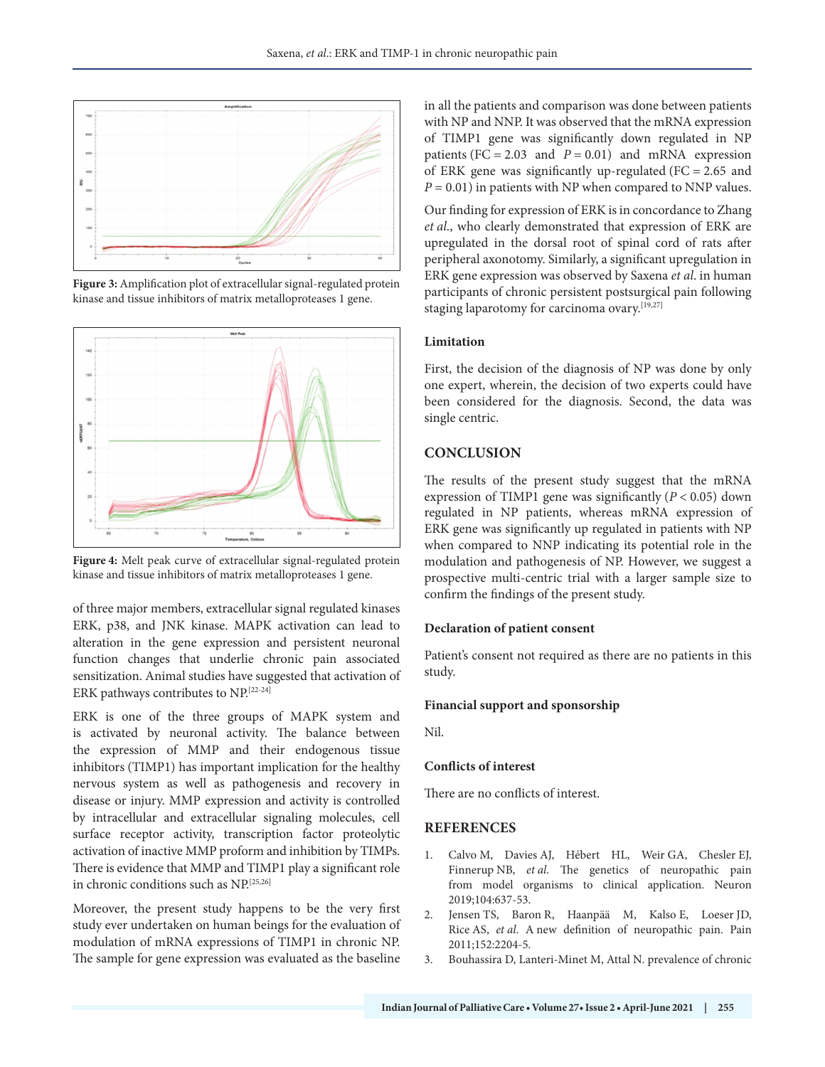

**Figure 3:** Amplification plot of extracellular signal-regulated protein kinase and tissue inhibitors of matrix metalloproteases 1 gene.



**Figure 4:** Melt peak curve of extracellular signal-regulated protein kinase and tissue inhibitors of matrix metalloproteases 1 gene.

of three major members, extracellular signal regulated kinases ERK, p38, and JNK kinase. MAPK activation can lead to alteration in the gene expression and persistent neuronal function changes that underlie chronic pain associated sensitization. Animal studies have suggested that activation of ERK pathways contributes to NP.[22-24]

ERK is one of the three groups of MAPK system and is activated by neuronal activity. The balance between the expression of MMP and their endogenous tissue inhibitors (TIMP1) has important implication for the healthy nervous system as well as pathogenesis and recovery in disease or injury. MMP expression and activity is controlled by intracellular and extracellular signaling molecules, cell surface receptor activity, transcription factor proteolytic activation of inactive MMP proform and inhibition by TIMPs. There is evidence that MMP and TIMP1 play a significant role in chronic conditions such as NP.[25,26]

Moreover, the present study happens to be the very first study ever undertaken on human beings for the evaluation of modulation of mRNA expressions of TIMP1 in chronic NP. The sample for gene expression was evaluated as the baseline

in all the patients and comparison was done between patients with NP and NNP. It was observed that the mRNA expression of TIMP1 gene was significantly down regulated in NP patients (FC = 2.03 and  $P = 0.01$ ) and mRNA expression of ERK gene was significantly up-regulated (FC =  $2.65$  and  $P = 0.01$ ) in patients with NP when compared to NNP values.

Our finding for expression of ERK is in concordance to Zhang *et al*., who clearly demonstrated that expression of ERK are upregulated in the dorsal root of spinal cord of rats after peripheral axonotomy. Similarly, a significant upregulation in ERK gene expression was observed by Saxena *et al*. in human participants of chronic persistent postsurgical pain following staging laparotomy for carcinoma ovary.[19,27]

## **Limitation**

First, the decision of the diagnosis of NP was done by only one expert, wherein, the decision of two experts could have been considered for the diagnosis. Second, the data was single centric.

# **CONCLUSION**

The results of the present study suggest that the mRNA expression of TIMP1 gene was significantly (*P* < 0.05) down regulated in NP patients, whereas mRNA expression of ERK gene was significantly up regulated in patients with NP when compared to NNP indicating its potential role in the modulation and pathogenesis of NP. However, we suggest a prospective multi-centric trial with a larger sample size to confirm the findings of the present study.

# **Declaration of patient consent**

Patient's consent not required as there are no patients in this study.

#### **Financial support and sponsorship**

Nil.

#### **Conflicts of interest**

There are no conflicts of interest.

## **REFERENCES**

- 1. Calvo M, Davies AJ, Hébert HL, Weir GA, Chesler EJ, Finnerup NB, *et al*. The genetics of neuropathic pain from model organisms to clinical application. Neuron 2019;104:637-53.
- 2. Jensen TS, Baron R, Haanpää M, Kalso E, Loeser JD, Rice AS, *et al*. A new definition of neuropathic pain. Pain 2011;152:2204-5.
- 3. Bouhassira D, Lanteri-Minet M, Attal N. prevalence of chronic